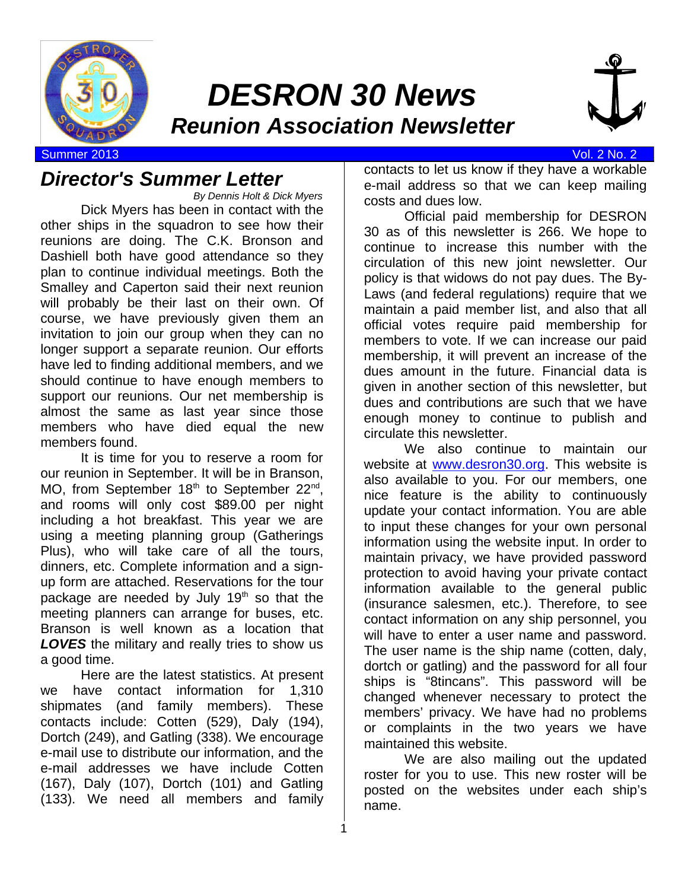

# *DESRON 30 News Reunion Association Newsletter*



Summer 2013 Vol. 2 No. 2

### *Director's Summer Letter*

*By Dennis Holt & Dick Myers* Dick Myers has been in contact with the other ships in the squadron to see how their reunions are doing. The C.K. Bronson and Dashiell both have good attendance so they plan to continue individual meetings. Both the Smalley and Caperton said their next reunion will probably be their last on their own. Of course, we have previously given them an invitation to join our group when they can no longer support a separate reunion. Our efforts have led to finding additional members, and we should continue to have enough members to support our reunions. Our net membership is almost the same as last year since those members who have died equal the new members found.

It is time for you to reserve a room for our reunion in September. It will be in Branson, MO, from September  $18<sup>th</sup>$  to September  $22<sup>nd</sup>$ , and rooms will only cost \$89.00 per night including a hot breakfast. This year we are using a meeting planning group (Gatherings Plus), who will take care of all the tours, dinners, etc. Complete information and a signup form are attached. Reservations for the tour package are needed by July  $19<sup>th</sup>$  so that the meeting planners can arrange for buses, etc. Branson is well known as a location that *LOVES* the military and really tries to show us a good time.

Here are the latest statistics. At present we have contact information for 1,310 shipmates (and family members). These contacts include: Cotten (529), Daly (194), Dortch (249), and Gatling (338). We encourage e-mail use to distribute our information, and the e-mail addresses we have include Cotten (167), Daly (107), Dortch (101) and Gatling (133). We need all members and family contacts to let us know if they have a workable e-mail address so that we can keep mailing costs and dues low.

Official paid membership for DESRON 30 as of this newsletter is 266. We hope to continue to increase this number with the circulation of this new joint newsletter. Our policy is that widows do not pay dues. The By-Laws (and federal regulations) require that we maintain a paid member list, and also that all official votes require paid membership for members to vote. If we can increase our paid membership, it will prevent an increase of the dues amount in the future. Financial data is given in another section of this newsletter, but dues and contributions are such that we have enough money to continue to publish and circulate this newsletter.

We also continue to maintain our website at www.desron30.org. This website is also available to you. For our members, one nice feature is the ability to continuously update your contact information. You are able to input these changes for your own personal information using the website input. In order to maintain privacy, we have provided password protection to avoid having your private contact information available to the general public (insurance salesmen, etc.). Therefore, to see contact information on any ship personnel, you will have to enter a user name and password. The user name is the ship name (cotten, daly, dortch or gatling) and the password for all four ships is "8tincans". This password will be changed whenever necessary to protect the members' privacy. We have had no problems or complaints in the two years we have maintained this website.

We are also mailing out the updated roster for you to use. This new roster will be posted on the websites under each ship's name.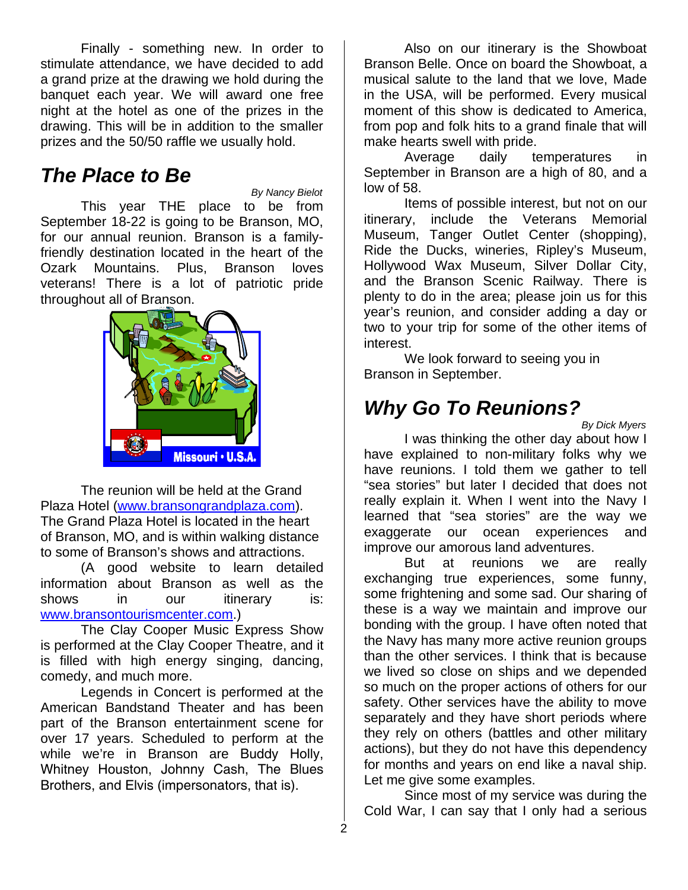Finally - something new. In order to stimulate attendance, we have decided to add a grand prize at the drawing we hold during the banquet each year. We will award one free night at the hotel as one of the prizes in the drawing. This will be in addition to the smaller prizes and the 50/50 raffle we usually hold.

### *The Place to Be*

*By Nancy Bielot* This year THE place to be from September 18-22 is going to be Branson, MO, for our annual reunion. Branson is a familyfriendly destination located in the heart of the Ozark Mountains. Plus, Branson loves veterans! There is a lot of patriotic pride throughout all of Branson.



The reunion will be held at the Grand Plaza Hotel (www.bransongrandplaza.com). The Grand Plaza Hotel is located in the heart of Branson, MO, and is within walking distance to some of Branson's shows and attractions.

(A good website to learn detailed information about Branson as well as the shows in our itinerary is: www.bransontourismcenter.com.)

The Clay Cooper Music Express Show is performed at the Clay Cooper Theatre, and it is filled with high energy singing, dancing, comedy, and much more.

Legends in Concert is performed at the American Bandstand Theater and has been part of the Branson entertainment scene for over 17 years. Scheduled to perform at the while we're in Branson are Buddy Holly, Whitney Houston, Johnny Cash, The Blues Brothers, and Elvis (impersonators, that is).

Also on our itinerary is the Showboat Branson Belle. Once on board the Showboat, a musical salute to the land that we love, Made in the USA, will be performed. Every musical moment of this show is dedicated to America, from pop and folk hits to a grand finale that will make hearts swell with pride.

Average daily temperatures in September in Branson are a high of 80, and a low of 58.

Items of possible interest, but not on our itinerary, include the Veterans Memorial Museum, Tanger Outlet Center (shopping), Ride the Ducks, wineries, Ripley's Museum, Hollywood Wax Museum, Silver Dollar City, and the Branson Scenic Railway. There is plenty to do in the area; please join us for this year's reunion, and consider adding a day or two to your trip for some of the other items of interest.

We look forward to seeing you in Branson in September.

### *Why Go To Reunions?*

*By Dick Myers*

I was thinking the other day about how I have explained to non-military folks why we have reunions. I told them we gather to tell "sea stories" but later I decided that does not really explain it. When I went into the Navy I learned that "sea stories" are the way we exaggerate our ocean experiences and improve our amorous land adventures.

But at reunions we are really exchanging true experiences, some funny, some frightening and some sad. Our sharing of these is a way we maintain and improve our bonding with the group. I have often noted that the Navy has many more active reunion groups than the other services. I think that is because we lived so close on ships and we depended so much on the proper actions of others for our safety. Other services have the ability to move separately and they have short periods where they rely on others (battles and other military actions), but they do not have this dependency for months and years on end like a naval ship. Let me give some examples.

Since most of my service was during the Cold War, I can say that I only had a serious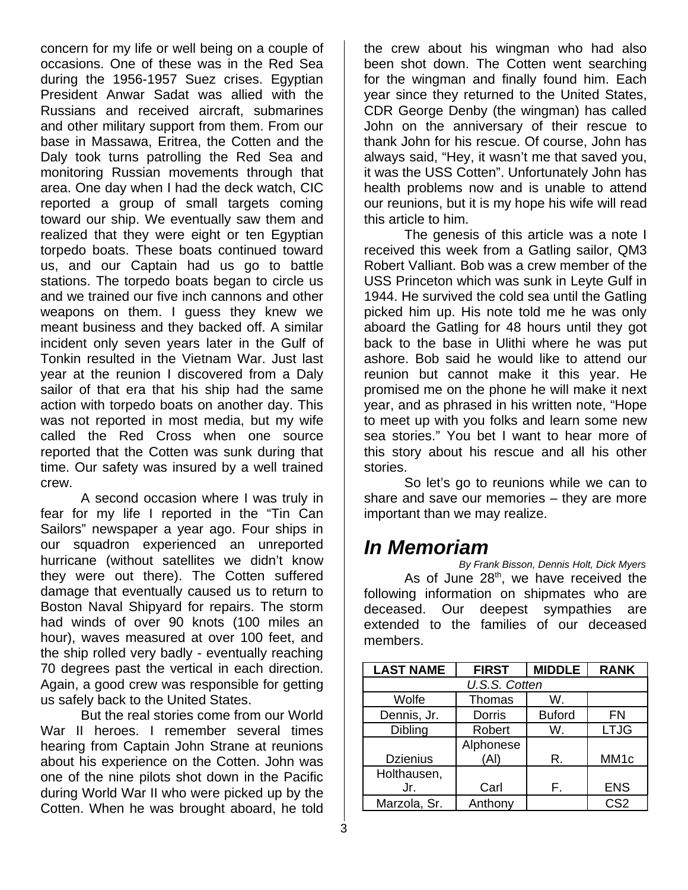concern for my life or well being on a couple of occasions. One of these was in the Red Sea during the 1956-1957 Suez crises. Egyptian President Anwar Sadat was allied with the Russians and received aircraft, submarines and other military support from them. From our base in Massawa, Eritrea, the Cotten and the Daly took turns patrolling the Red Sea and monitoring Russian movements through that area. One day when I had the deck watch, CIC reported a group of small targets coming toward our ship. We eventually saw them and realized that they were eight or ten Egyptian torpedo boats. These boats continued toward us, and our Captain had us go to battle stations. The torpedo boats began to circle us and we trained our five inch cannons and other weapons on them. I guess they knew we meant business and they backed off. A similar incident only seven years later in the Gulf of Tonkin resulted in the Vietnam War. Just last year at the reunion I discovered from a Daly sailor of that era that his ship had the same action with torpedo boats on another day. This was not reported in most media, but my wife called the Red Cross when one source reported that the Cotten was sunk during that time. Our safety was insured by a well trained crew.

A second occasion where I was truly in fear for my life I reported in the "Tin Can Sailors" newspaper a year ago. Four ships in our squadron experienced an unreported hurricane (without satellites we didn't know they were out there). The Cotten suffered damage that eventually caused us to return to Boston Naval Shipyard for repairs. The storm had winds of over 90 knots (100 miles an hour), waves measured at over 100 feet, and the ship rolled very badly - eventually reaching 70 degrees past the vertical in each direction. Again, a good crew was responsible for getting us safely back to the United States.

But the real stories come from our World War II heroes. I remember several times hearing from Captain John Strane at reunions about his experience on the Cotten. John was one of the nine pilots shot down in the Pacific during World War II who were picked up by the Cotten. When he was brought aboard, he told

the crew about his wingman who had also been shot down. The Cotten went searching for the wingman and finally found him. Each year since they returned to the United States, CDR George Denby (the wingman) has called John on the anniversary of their rescue to thank John for his rescue. Of course, John has always said, "Hey, it wasn't me that saved you, it was the USS Cotten". Unfortunately John has health problems now and is unable to attend our reunions, but it is my hope his wife will read this article to him.

The genesis of this article was a note I received this week from a Gatling sailor, QM3 Robert Valliant. Bob was a crew member of the USS Princeton which was sunk in Leyte Gulf in 1944. He survived the cold sea until the Gatling picked him up. His note told me he was only aboard the Gatling for 48 hours until they got back to the base in Ulithi where he was put ashore. Bob said he would like to attend our reunion but cannot make it this year. He promised me on the phone he will make it next year, and as phrased in his written note, "Hope to meet up with you folks and learn some new sea stories." You bet I want to hear more of this story about his rescue and all his other stories.

So let's go to reunions while we can to share and save our memories – they are more important than we may realize.

### *In Memoriam*

*By Frank Bisson, Dennis Holt, Dick Myers* As of June  $28<sup>th</sup>$ , we have received the following information on shipmates who are deceased. Our deepest sympathies are extended to the families of our deceased members.

| <b>LAST NAME</b> | <b>FIRST</b>      | <b>MIDDLE</b> | <b>RANK</b>      |  |  |  |
|------------------|-------------------|---------------|------------------|--|--|--|
| U.S.S. Cotten    |                   |               |                  |  |  |  |
| Wolfe            | Thomas            | W.            |                  |  |  |  |
| Dennis, Jr.      | <b>Dorris</b>     | <b>Buford</b> | <b>FN</b>        |  |  |  |
| Dibling          | Robert            | W.            | <b>LTJG</b>      |  |  |  |
| <b>Dzienius</b>  | Alphonese<br>(AI) | R.            | MM <sub>1c</sub> |  |  |  |
| Holthausen,      |                   |               |                  |  |  |  |
| Jr.              | Carl              | F.            | <b>ENS</b>       |  |  |  |
| Marzola, Sr.     | Anthony           |               | CS <sub>2</sub>  |  |  |  |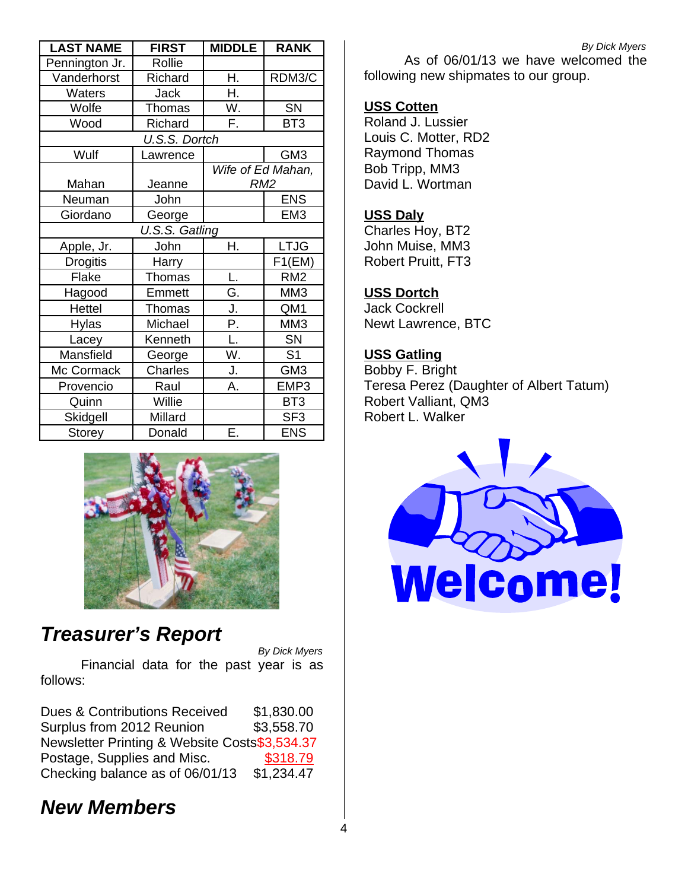| <b>LAST NAME</b> | <b>FIRST</b> | <b>MIDDLE</b>     | <b>RANK</b>     |  |  |  |
|------------------|--------------|-------------------|-----------------|--|--|--|
| Pennington Jr.   | Rollie       |                   |                 |  |  |  |
| Vanderhorst      | Richard      | Η.                | RDM3/C          |  |  |  |
| <b>Waters</b>    | Jack         | Η.                |                 |  |  |  |
| Wolfe            | Thomas       | W.                | SN              |  |  |  |
| Wood             | Richard      | F.                | BT <sub>3</sub> |  |  |  |
| U.S.S. Dortch    |              |                   |                 |  |  |  |
| Wulf             | Lawrence     |                   | GM <sub>3</sub> |  |  |  |
|                  |              | Wife of Ed Mahan, |                 |  |  |  |
| Mahan            | Jeanne       | RM <sub>2</sub>   |                 |  |  |  |
| Neuman           | John         |                   | <b>ENS</b>      |  |  |  |
| Giordano         | George       |                   | EM <sub>3</sub> |  |  |  |
| U.S.S. Gatling   |              |                   |                 |  |  |  |
| Apple, Jr.       | John         | Η.                | <b>LTJG</b>     |  |  |  |
| <b>Drogitis</b>  | Harry        |                   | F1(EM)          |  |  |  |
| Flake            | Thomas       | L.                | RM <sub>2</sub> |  |  |  |
| Hagood           | Emmett       | G.                | MM3             |  |  |  |
| Hettel           | Thomas       | J.                | QM1             |  |  |  |
| <b>Hylas</b>     | Michael      | Ρ.                | MM3             |  |  |  |
| Lacey            | Kenneth      | L.                | <b>SN</b>       |  |  |  |
| Mansfield        | George       | W.                | S <sub>1</sub>  |  |  |  |
| Mc Cormack       | Charles      | J.                | GM <sub>3</sub> |  |  |  |
| Provencio        | Raul         | Α.                | EMP3            |  |  |  |
| Quinn            | Willie       |                   | BT <sub>3</sub> |  |  |  |
| Skidgell         | Millard      |                   | SF <sub>3</sub> |  |  |  |
| Storey           | Donald       | Ε.                | <b>ENS</b>      |  |  |  |



### *Treasurer's Report*

*By Dick Myers*

Financial data for the past year is as follows:

Dues & Contributions Received \$1,830.00 Surplus from 2012 Reunion \$3,558.70 Newsletter Printing & Website Costs\$3,534.37 Postage, Supplies and Misc. \$318.79 Checking balance as of  $06/01/13$  \$1,234.47

### *New Members*

*By Dick Myers*

As of 06/01/13 we have welcomed the following new shipmates to our group.

#### **USS Cotten**

Roland J. Lussier Louis C. Motter, RD2 Raymond Thomas Bob Tripp, MM3 David L. Wortman

#### **USS Daly**

Charles Hoy, BT2 John Muise, MM3 Robert Pruitt, FT3

#### **USS Dortch**

Jack Cockrell Newt Lawrence, BTC

### **USS Gatling**

Bobby F. Bright Teresa Perez (Daughter of Albert Tatum) Robert Valliant, QM3 Robert L. Walker

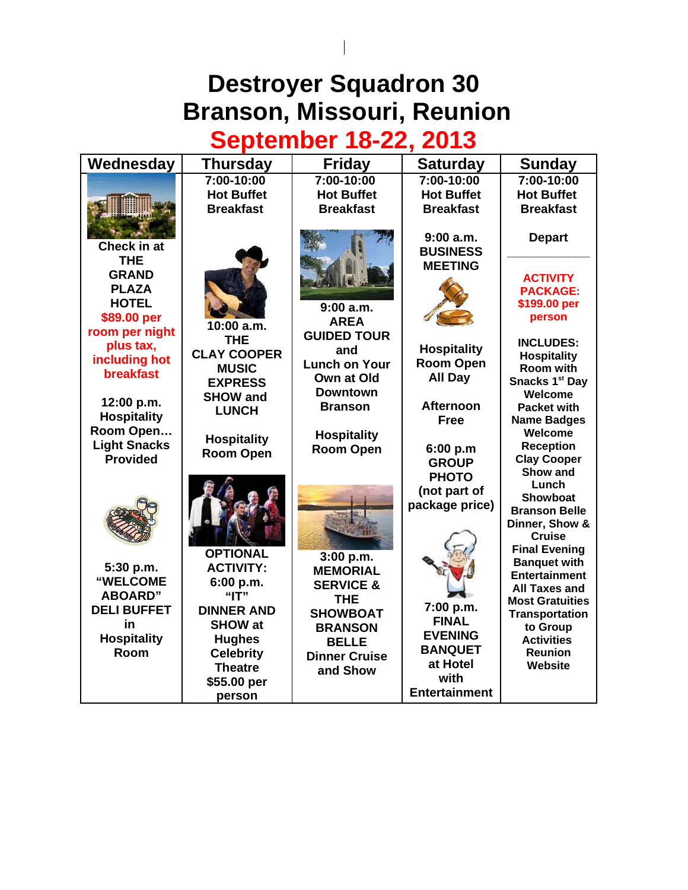# **Destroyer Squadron 30 Branson, Missouri, Reunion**

 $\overline{\phantom{a}}$ 

# **September 18-22, 2013**

| Wednesday                              | Thursday           | <b>Friday</b>        | <b>Saturday</b>      | <b>Sunday</b>                                |
|----------------------------------------|--------------------|----------------------|----------------------|----------------------------------------------|
|                                        | 7:00-10:00         | 7:00-10:00           | 7:00-10:00           | 7:00-10:00                                   |
|                                        | <b>Hot Buffet</b>  | <b>Hot Buffet</b>    | <b>Hot Buffet</b>    | <b>Hot Buffet</b>                            |
|                                        | <b>Breakfast</b>   | <b>Breakfast</b>     | <b>Breakfast</b>     | <b>Breakfast</b>                             |
|                                        |                    |                      |                      |                                              |
|                                        |                    |                      | 9:00a.m.             | <b>Depart</b>                                |
| Check in at                            |                    |                      | <b>BUSINESS</b>      |                                              |
| <b>THE</b>                             |                    |                      | <b>MEETING</b>       |                                              |
| <b>GRAND</b>                           |                    |                      |                      | <b>ACTIVITY</b>                              |
| <b>PLAZA</b>                           |                    |                      |                      | <b>PACKAGE:</b>                              |
| <b>HOTEL</b>                           |                    | 9:00 a.m.            |                      | \$199.00 per                                 |
| \$89.00 per                            | 10:00 a.m.         | <b>AREA</b>          |                      | person                                       |
| room per night                         | <b>THE</b>         | <b>GUIDED TOUR</b>   |                      | <b>INCLUDES:</b>                             |
| plus tax,                              | <b>CLAY COOPER</b> | and                  | <b>Hospitality</b>   | <b>Hospitality</b>                           |
| including hot                          | <b>MUSIC</b>       | <b>Lunch on Your</b> | <b>Room Open</b>     | Room with                                    |
| <b>breakfast</b>                       | <b>EXPRESS</b>     | Own at Old           | All Day              | Snacks 1st Day                               |
|                                        | <b>SHOW and</b>    | <b>Downtown</b>      |                      | Welcome                                      |
| 12:00 p.m.                             | <b>LUNCH</b>       | <b>Branson</b>       | <b>Afternoon</b>     | <b>Packet with</b>                           |
| <b>Hospitality</b>                     |                    |                      | <b>Free</b>          | <b>Name Badges</b>                           |
| Room Open                              | <b>Hospitality</b> | <b>Hospitality</b>   |                      | Welcome                                      |
| <b>Light Snacks</b><br><b>Provided</b> | <b>Room Open</b>   | <b>Room Open</b>     | 6:00 p.m             | <b>Reception</b>                             |
|                                        |                    |                      | <b>GROUP</b>         | <b>Clay Cooper</b><br>Show and               |
|                                        |                    |                      | <b>PHOTO</b>         | Lunch                                        |
|                                        |                    |                      | (not part of         | <b>Showboat</b>                              |
|                                        |                    |                      | package price)       | <b>Branson Belle</b>                         |
|                                        |                    |                      |                      | Dinner, Show &                               |
|                                        |                    |                      |                      | <b>Cruise</b>                                |
|                                        | <b>OPTIONAL</b>    | 3:00 p.m.            |                      | <b>Final Evening</b>                         |
| 5:30 p.m.                              | <b>ACTIVITY:</b>   | <b>MEMORIAL</b>      |                      | <b>Banquet with</b>                          |
| "WELCOME                               | 6:00 p.m.          | <b>SERVICE &amp;</b> |                      | <b>Entertainment</b><br><b>All Taxes and</b> |
| <b>ABOARD"</b>                         | "IT"               | <b>THE</b>           |                      | <b>Most Gratuities</b>                       |
| <b>DELI BUFFET</b>                     | <b>DINNER AND</b>  | <b>SHOWBOAT</b>      | 7:00 p.m.            | <b>Transportation</b>                        |
| in                                     | <b>SHOW at</b>     | <b>BRANSON</b>       | <b>FINAL</b>         | to Group                                     |
| <b>Hospitality</b>                     | <b>Hughes</b>      | <b>BELLE</b>         | <b>EVENING</b>       | <b>Activities</b>                            |
| Room                                   | <b>Celebrity</b>   | <b>Dinner Cruise</b> | <b>BANQUET</b>       | <b>Reunion</b>                               |
|                                        | <b>Theatre</b>     | and Show             | at Hotel             | Website                                      |
|                                        | \$55.00 per        |                      | with                 |                                              |
|                                        | person             |                      | <b>Entertainment</b> |                                              |